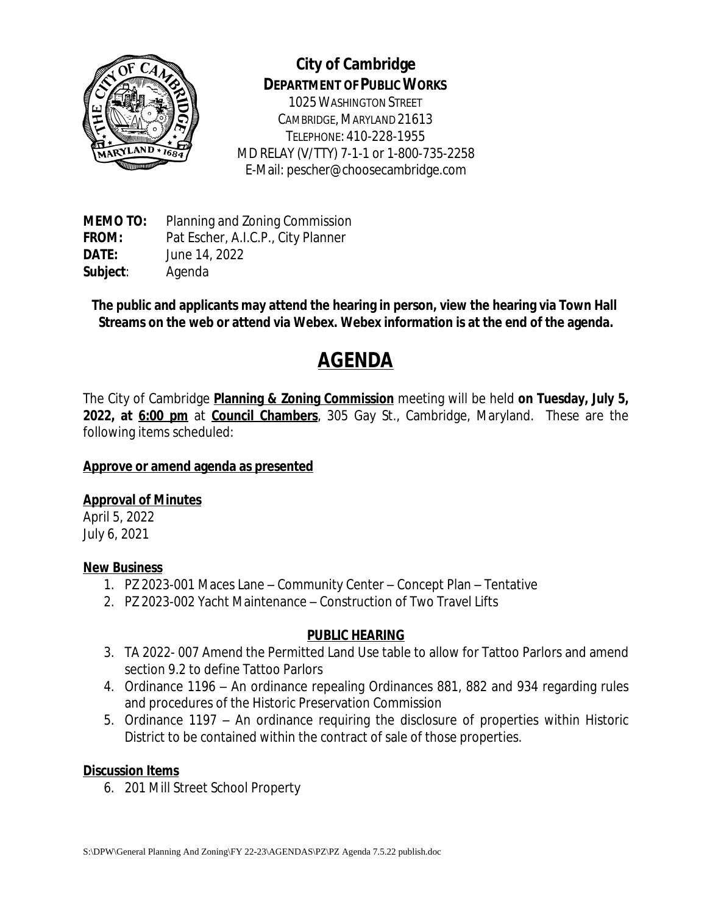

## **City of Cambridge DEPARTMENT OF PUBLIC WORKS**

1025WASHINGTON STREET CAMBRIDGE, MARYLAND 21613 TELEPHONE: 410-228-1955 MD RELAY (V/TTY) 7-1-1 or 1-800-735-2258 E-Mail: pescher@choosecambridge.com

**MEMO TO:** Planning and Zoning Commission **FROM:** Pat Escher, A.I.C.P., City Planner **DATE:** June 14, 2022 **Subject**: Agenda

**The public and applicants may attend the hearing in person, view the hearing via Town Hall Streams on the web or attend via Webex. Webex information is at the end of the agenda.**

# **AGENDA**

The City of Cambridge **Planning & Zoning Commission** meeting will be held **on Tuesday, July 5, 2022, at 6:00 pm** at **Council Chambers**, 305 Gay St., Cambridge, Maryland. These are the following items scheduled:

### **Approve or amend agenda as presented**

### **Approval of Minutes**

April 5, 2022 July 6, 2021

#### **New Business**

- 1. PZ 2023-001 Maces Lane Community Center Concept Plan Tentative
- 2. PZ 2023-002 Yacht Maintenance Construction of Two Travel Lifts

### **PUBLIC HEARING**

- 3. TA 2022- 007 Amend the Permitted Land Use table to allow for Tattoo Parlors and amend section 9.2 to define Tattoo Parlors
- 4. Ordinance 1196 An ordinance repealing Ordinances 881, 882 and 934 regarding rules and procedures of the Historic Preservation Commission
- 5. Ordinance 1197 An ordinance requiring the disclosure of properties within Historic District to be contained within the contract of sale of those properties.

#### **Discussion Items**

6. 201 Mill Street School Property